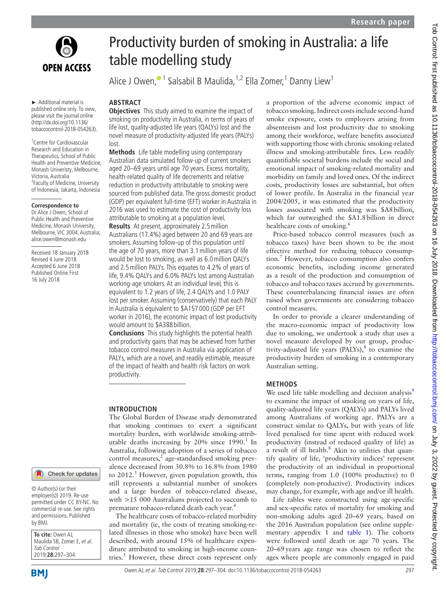

► Additional material is published online only. To view, please visit the journal online (http://dx.doi.org/10.1136/ tobaccocontrol-2018-054263).

1 Centre for Cardiovascular Research and Education in Therapeutics, School of Public Health and Preventive Medicine, Monash Univeristy, Melbourne, Victoria, Australia <sup>2</sup> Faculty of Medicine, University of Indonesia, Jakarta, Indonesia

### **Correspondence to**

Dr Alice J Owen, School of Public Health and Preventive Medicine, Monash University, Melbourne, VIC 3004, Australia; alice.owen@monash.edu

Received 18 January 2018 Revised 4 June 2018 Accepted 6 June 2018 Published Online First 16 July 2018



© Author(s) (or their employer(s)) 2019. Re-use permitted under CC BY-NC. No commercial re-use. See rights and permissions. Published by BMJ.

**To cite:** Owen AJ, Maulida SB, Zomer E, et al. Tob Control 2019;**28**:297–304.

# Productivity burden of smoking in Australia: a life table modelling study

Alice J Owen[,](http://orcid.org/0000-0002-4807-6069)<sup>® 1</sup> Salsabil B Maulida,<sup>1,2</sup> Ella Zomer,<sup>1</sup> Danny Liew<sup>1</sup>

### **Abstract**

**Objectives** This study aimed to examine the impact of smoking on productivity in Australia, in terms of years of life lost, quality-adjusted life years (QALYs) lost and the novel measure of productivity-adjusted life years (PALYs) lost.

**Methods** Life table modelling using contemporary Australian data simulated follow-up of current smokers aged 20–69 years until age 70 years. Excess mortality, health-related quality of life decrements and relative reduction in productivity attributable to smoking were sourced from published data. The gross domestic product (GDP) per equivalent full-time (EFT) worker in Australia in 2016 was used to estimate the cost of productivity loss attributable to smoking at a population level. **Results** At present, approximately 2.5million Australians (17.4%) aged between 20 and 69 years are smokers. Assuming follow-up of this population until the age of 70 years, more than 3.1million years of life would be lost to smoking, as well as 6.0million QALYs and 2.5million PALYs. This equates to 4.2% of years of life, 9.4% QALYs and 6.0% PALYs lost among Australian working-age smokers. At an individual level, this is equivalent to 1.2 years of life, 2.4 QALYs and 1.0 PALY lost per smoker. Assuming (conservatively) that each PALY in Australia is equivalent to \$A157 000 (GDP per EFT worker in 2016), the economic impact of lost productivity would amount to \$A388 billion.

**Conclusions** This study highlights the potential health and productivity gains that may be achieved from further tobacco control measures in Australia via application of PALYs, which are a novel, and readily estimable, measure of the impact of health and health risk factors on work productivity.

### **Introduction**

The Global Burden of Disease study demonstrated that smoking continues to exert a significant mortality burden, with worldwide smoking-attributable deaths increasing by  $20\%$  since  $1990.<sup>1</sup>$  $1990.<sup>1</sup>$  In Australia, following adoption of a series of tobacco control measures,<sup>[2](#page-6-1)</sup> age-standardised smoking prevalence decreased from 30.8% to 16.8% from 1980 to 2012.<sup>[3](#page-6-2)</sup> However, given population growth, this still represents a substantial number of smokers and a large burden of tobacco-related disease, with >15 000 Australians projected to succumb to premature tobacco-related death each year.<sup>[4](#page-6-3)</sup>

The healthcare costs of tobacco-related morbidity and mortality (ie, the costs of treating smoking-related illnesses in those who smoke) have been well described, with around 15% of healthcare expenditure attributed to smoking in high-income coun-tries.<sup>[5](#page-6-4)</sup> However, these direct costs represent only a proportion of the adverse economic impact of tobacco smoking. Indirect costs include second-hand smoke exposure, costs to employers arising from absenteeism and lost productivity due to smoking among their workforce, welfare benefits associated with supporting those with chronic smoking-related illness and smoking-attributable fires. Less readily quantifiable societal burdens include the social and emotional impact of smoking-related mortality and morbidity on family and loved ones. Of the indirect costs, productivity losses are substantial, but often of lower profile. In Australia in the financial year 2004/2005, it was estimated that the productivity losses associated with smoking was \$A8billion, which far outweighed the \$A1.8billion in direct healthcare costs of smoking.<sup>[6](#page-6-5)</sup>

Price-based tobacco control measures (such as tobacco taxes) have been shown to be the most effective method for reducing tobacco consumption.[7](#page-6-6) However, tobacco consumption also confers economic benefits, including income generated as a result of the production and consumption of tobacco and tobacco taxes accrued by governments. These counterbalancing financial issues are often raised when governments are considering tobacco control measures.

In order to provide a clearer understanding of the macro-economic impact of productivity loss due to smoking, we undertook a study that uses a novel measure developed by our group, productivity-adjusted life years (PALYs), $8$  to examine the productivity burden of smoking in a contemporary Australian setting.

### **Methods**

We used life table modelling and decision analysis $9$ to examine the impact of smoking on years of life, quality-adjusted life years (QALYs) and PALYs lived among Australians of working age. PALYs are a construct similar to QALYs, but with years of life lived penalised for time spent with reduced work productivity (instead of reduced quality of life) as a result of ill health. $8$  Akin to utilities that quantify quality of life, 'productivity indices' represent the productivity of an individual in proportional terms, ranging from 1.0 (100% productive) to 0 (completely non-productive). Productivity indices may change, for example, with age and/or ill health.

Life tables were constructed using age-specific and sex-specific rates of mortality for smoking and non-smoking adults aged 20–69 years, based on the 2016 Australian population (see online [supple](https://dx.doi.org/10.1136/tobaccocontrol-2018-054263)[mentary appendix 1](https://dx.doi.org/10.1136/tobaccocontrol-2018-054263) and [table](#page-1-0) 1). The cohorts were followed until death or age 70 years. The 20–69years age range was chosen to reflect the ages where people are commonly engaged in paid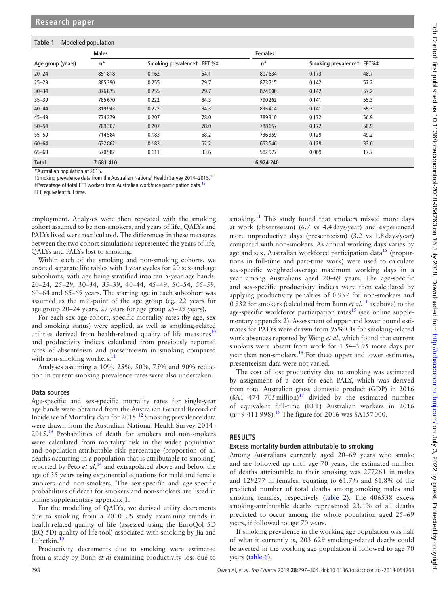### <span id="page-1-0"></span>**Table 1** Modelled population

| <b>Males</b>      |         |                            |      | <b>Females</b> |                           |      |
|-------------------|---------|----------------------------|------|----------------|---------------------------|------|
| Age group (years) | $n^*$   | Smoking prevalencet EFT %# |      | $n^*$          | Smoking prevalencet EFT%# |      |
| $20 - 24$         | 851818  | 0.162                      | 54.1 | 807634         | 0.173                     | 48.7 |
| $25 - 29$         | 885390  | 0.255                      | 79.7 | 873715         | 0.142                     | 57.2 |
| $30 - 34$         | 876875  | 0.255                      | 79.7 | 874000         | 0.142                     | 57.2 |
| $35 - 39$         | 785670  | 0.222                      | 84.3 | 790 262        | 0.141                     | 55.3 |
| $40 - 44$         | 819943  | 0.222                      | 84.3 | 835414         | 0.141                     | 55.3 |
| $45 - 49$         | 774379  | 0.207                      | 78.0 | 789310         | 0.172                     | 56.9 |
| $50 - 54$         | 769307  | 0.207                      | 78.0 | 788657         | 0.172                     | 56.9 |
| $55 - 59$         | 714584  | 0.183                      | 68.2 | 736359         | 0.129                     | 49.2 |
| $60 - 64$         | 632862  | 0.183                      | 52.2 | 653546         | 0.129                     | 33.6 |
| $65 - 69$         | 570582  | 0.111                      | 33.6 | 582977         | 0.069                     | 17.7 |
| <b>Total</b>      | 7681410 |                            |      | 6 9 24 240     |                           |      |

\*Australian population at 2015.

†Smoking prevalence data from the Australian National Health Survey 2014–2015.[13](#page-6-9)

‡Percentage of total EFT workers from Australian workforce participation data[.15](#page-7-0)

EFT, equivalent full time.

employment. Analyses were then repeated with the smoking cohort assumed to be non-smokers, and years of life, QALYs and PALYs lived were recalculated. The differences in these measures between the two cohort simulations represented the years of life, QALYs and PALYs lost to smoking.

Within each of the smoking and non-smoking cohorts, we created separate life tables with 1year cycles for 20 sex-and-age subcohorts, with age being stratified into ten 5-year age bands: 20–24, 25–29, 30–34, 35–39, 40–44, 45–49, 50–54, 55–59, 60–64 and 65–69 years. The starting age in each subcohort was assumed as the mid-point of the age group (eg, 22 years for age group 20–24 years, 27 years for age group 25–29 years).

For each sex-age cohort, specific mortality rates (by age, sex and smoking status) were applied, as well as smoking-related utilities derived from health-related quality of life measures $10$ and productivity indices calculated from previously reported rates of absenteeism and presenteeism in smoking compared with non-smoking workers.<sup>[11](#page-6-11)</sup>

Analyses assuming a 10%, 25%, 50%, 75% and 90% reduction in current smoking prevalence rates were also undertaken.

### **Data sources**

Age-specific and sex-specific mortality rates for single-year age bands were obtained from the Australian General Record of Incidence of Mortality data for 2015.[12](#page-6-12) Smoking prevalence data were drawn from the Australian National Health Survey 2014– 2015.[13](#page-6-9) Probabilities of death for smokers and non-smokers were calculated from mortality risk in the wider population and population-attributable risk percentage (proportion of all deaths occurring in a population that is attributable to smoking) reported by Peto *et al*<sup>[14](#page-6-13)</sup> and extrapolated above and below the age of 35 years using exponential equations for male and female smokers and non-smokers. The sex-specific and age-specific probabilities of death for smokers and non-smokers are listed in online [supplementary appendix 1](https://dx.doi.org/10.1136/tobaccocontrol-2018-054263).

For the modelling of QALYs, we derived utility decrements due to smoking from a 2010 US study examining trends in health-related quality of life (assessed using the EuroQol 5D (EQ-5D) quality of life tool) associated with smoking by Jia and Lubetkin. $10$ 

Productivity decrements due to smoking were estimated from a study by Bunn *et al* examining productivity loss due to smoking.<sup>[11](#page-6-11)</sup> This study found that smokers missed more days at work (absenteeism) (6.7 vs 4.4days/year) and experienced more unproductive days (presenteeism) (3.2 vs 1.8days/year) compared with non-smokers. As annual working days varies by age and sex, Australian workforce participation data<sup>15</sup> (proportions in full-time and part-time work) were used to calculate sex-specific weighted-average maximum working days in a year among Australians aged 20–69 years. The age-specific and sex-specific productivity indices were then calculated by applying productivity penalties of 0.957 for non-smokers and 0.932 for smokers (calculated from Bunn *et al*, [11](#page-6-11) as above) to the age-specific workforce participation rates $^{15}$  (see online [supple](https://dx.doi.org/10.1136/tobaccocontrol-2018-054263)[mentary appendix 2](https://dx.doi.org/10.1136/tobaccocontrol-2018-054263)). Assessment of upper and lower bound estimates for PALYs were drawn from 95% CIs for smoking-related work absences reported by Weng *et al*, which found that current smokers were absent from work for 1.54–3.95 more days per year than non-smokers.<sup>[16](#page-7-1)</sup> For these upper and lower estimates, presenteeism data were not varied.

The cost of lost productivity due to smoking was estimated by assignment of a cost for each PALY, which was derived from total Australian gross domestic product (GDP) in 2016  $(\$A1 \quad 474 \quad 705 \text{ million})^{17}$  $(\$A1 \quad 474 \quad 705 \text{ million})^{17}$  $(\$A1 \quad 474 \quad 705 \text{ million})^{17}$  divided by the estimated number of equivalent full-time (EFT) Australian workers in 2016  $(n=9 411 998)$ .<sup>[15](#page-7-0)</sup> The figure for 2016 was \$A157000.

### **Results**

### **Excess mortality burden attributable to smoking**

Among Australians currently aged 20–69 years who smoke and are followed up until age 70 years, the estimated number of deaths attributable to their smoking was 277261 in males and 129277 in females, equating to 61.7% and 61.8% of the predicted number of total deaths among smoking males and smoking females, respectively [\(table](#page-2-0) 2). The 406538 excess smoking-attributable deaths represented 23.1% of all deaths predicted to occur among the whole population aged 25–69 years, if followed to age 70 years.

If smoking prevalence in the working age population was half of what it currently is, 203 629 smoking-related deaths could be averted in the working age population if followed to age 70 years ([table](#page-5-0) 6).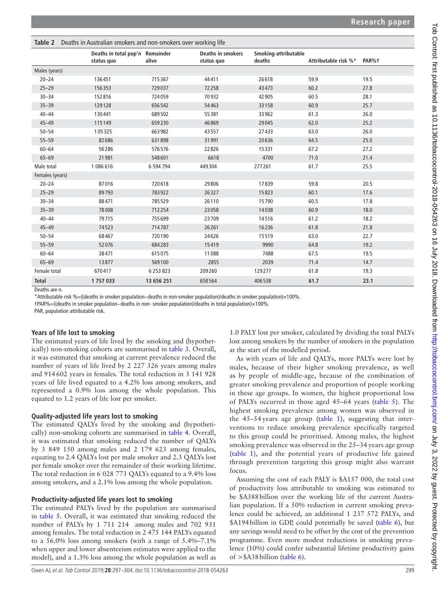<span id="page-2-0"></span>

| Table 2         | Deaths in Australian smokers and non-smokers over working life |               |                                        |                                |                      |       |  |
|-----------------|----------------------------------------------------------------|---------------|----------------------------------------|--------------------------------|----------------------|-------|--|
|                 | Deaths in total pop'n Remainder<br>status quo                  | alive         | <b>Deaths in smokers</b><br>status quo | Smoking-attributable<br>deaths | Attributable risk %* | PAR%+ |  |
| Males (years)   |                                                                |               |                                        |                                |                      |       |  |
| $20 - 24$       | 136451                                                         | 715367        | 44411                                  | 26618                          | 59.9                 | 19.5  |  |
| $25 - 29$       | 156353                                                         | 729037        | 72258                                  | 43473                          | 60.2                 | 27.8  |  |
| $30 - 34$       | 152816                                                         | 724059        | 70932                                  | 42905                          | 60.5                 | 28.1  |  |
| $35 - 39$       | 129128                                                         | 656542        | 54463                                  | 33158                          | 60.9                 | 25.7  |  |
| $40 - 44$       | 130441                                                         | 689502        | 55381                                  | 33962                          | 61.3                 | 26.0  |  |
| $45 - 49$       | 115149                                                         | 659230        | 46869                                  | 29045                          | 62.0                 | 25.2  |  |
| $50 - 54$       | 105325                                                         | 663982        | 43557                                  | 27433                          | 63.0                 | 26.0  |  |
| $55 - 59$       | 82686                                                          | 631898        | 31 991                                 | 20636                          | 64.5                 | 25.0  |  |
| $60 - 64$       | 56286                                                          | 576576        | 22826                                  | 15331                          | 67.2                 | 27.2  |  |
| $65 - 69$       | 21 981                                                         | 548601        | 6618                                   | 4700                           | 71.0                 | 21.4  |  |
| Male total      | 1 086 616                                                      | 6 594 794     | 449304                                 | 277261                         | 61.7                 | 25.5  |  |
| Females (years) |                                                                |               |                                        |                                |                      |       |  |
| $20 - 24$       | 87016                                                          | 720618        | 29806                                  | 17839                          | 59.8                 | 20.5  |  |
| $25 - 29$       | 89793                                                          | 783922        | 26327                                  | 15823                          | 60.1                 | 17.6  |  |
| $30 - 34$       | 88471                                                          | 785529        | 26110                                  | 15790                          | 60.5                 | 17.8  |  |
| $35 - 39$       | 78008                                                          | 712254        | 23058                                  | 14038                          | 60.9                 | 18.0  |  |
| $40 - 44$       | 79715                                                          | 755699        | 23709                                  | 14516                          | 61.2                 | 18.2  |  |
| $45 - 49$       | 74523                                                          | 714787        | 26261                                  | 16236                          | 61.8                 | 21.8  |  |
| $50 - 54$       | 68467                                                          | 720190        | 24626                                  | 15519                          | 63.0                 | 22.7  |  |
| $55 - 59$       | 52076                                                          | 684283        | 15419                                  | 9990                           | 64.8                 | 19.2  |  |
| $60 - 64$       | 38471                                                          | 615075        | 11088                                  | 7488                           | 67.5                 | 19.5  |  |
| $65 - 69$       | 13877                                                          | 569100        | 2855                                   | 2039                           | 71.4                 | 14.7  |  |
| Female total    | 670417                                                         | 6 2 5 3 8 2 3 | 209260                                 | 129277                         | 61.8                 | 19.3  |  |
| <b>Total</b>    | 1757033                                                        | 13 656 251    | 658564                                 | 406538                         | 61.7                 | 23.1  |  |

Deaths are n.

\*Attributable risk %=((deaths in smoker population−deaths in non-smoker population)/deaths in smoker population)×100%.

†PAR%=((deaths in smoker population−deaths in non- smoker population)/deaths in total population)×100%.

PAR, population attributable risk.

### **Years of life lost to smoking**

The estimated years of life lived by the smoking and (hypothetically) non-smoking cohorts are summarised in [table](#page-3-0) 3. Overall, it was estimated that smoking at current prevalence reduced the number of years of life lived by 2 227 326 years among males and 914602 years in females. The total reduction in 3 141 928 years of life lived equated to a 4.2% loss among smokers, and represented a 0.9% loss among the whole population. This equated to 1.2 years of life lost per smoker.

### **Quality-adjusted life years lost to smoking**

The estimated QALYs lived by the smoking and (hypothetically) non-smoking cohorts are summarised in [table](#page-4-0) 4. Overall, it was estimated that smoking reduced the number of QALYs by 3 849 150 among males and 2 179 623 among females, equating to 2.4 QALYs lost per male smoker and 2.3 QALYs lost per female smoker over the remainder of their working lifetime. The total reduction in 6 028 773 QALYs equated to a 9.4% loss among smokers, and a 2.1% loss among the whole population.

### **Productivity-adjusted life years lost to smoking**

The estimated PALYs lived by the population are summarised in [table](#page-5-1) 5. Overall, it was estimated that smoking reduced the number of PALYs by 1 711 214 among males and 702 931 among females. The total reduction in 2 475 144 PALYs equated to a 56.0% loss among smokers (with a range of 5.4%–7.1% when upper and lower absenteeism estimates were applied to the model), and a 1.3% loss among the whole population as well as

1.0 PALY lost per smoker, calculated by dividing the total PALYs lost among smokers by the number of smokers in the population at the start of the modelled period.

As with years of life and QALYs, more PALYs were lost by males, because of their higher smoking prevalence, as well as by people of middle-age, because of the combination of greater smoking prevalence and proportion of people working in these age groups. In women, the highest proportional loss of PALYs occurred in those aged 45–64 years [\(table](#page-5-1) 5). The highest smoking prevalence among women was observed in the 45–54 years age group [\(table](#page-1-0) 1), suggesting that interventions to reduce smoking prevalence specifically targeted to this group could be prioritised. Among males, the highest smoking prevalence was observed in the 25–34 years age group ([table](#page-1-0) 1), and the potential years of productive life gained through prevention targeting this group might also warrant focus.

Assuming the cost of each PALY is \$A157 000, the total cost of productivity loss attributable to smoking was estimated to be \$A388billion over the working life of the current Australian population. If a 50% reduction in current smoking prevalence could be achieved, an additional 1 237 572 PALYs, and \$A194 billion in GDP, could potentially be saved ([table](#page-5-0) 6), but any savings would need to be offset by the cost of the prevention programme. Even more modest reductions in smoking prevalence (10%) could confer substantial lifetime productivity gains of >\$A38billion [\(table](#page-5-0) 6).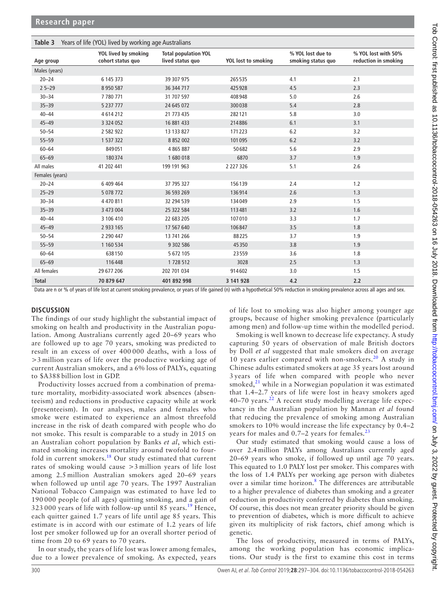<span id="page-3-0"></span>

| Years of life (YOL) lived by working age Australians<br>Table 3 |                                           |                                                 |                     |                                         |                                             |  |  |
|-----------------------------------------------------------------|-------------------------------------------|-------------------------------------------------|---------------------|-----------------------------------------|---------------------------------------------|--|--|
| Age group                                                       | YOL lived by smoking<br>cohort status quo | <b>Total population YOL</b><br>lived status quo | YOL lost to smoking | % YOL lost due to<br>smoking status quo | % YOL lost with 50%<br>reduction in smoking |  |  |
| Males (years)                                                   |                                           |                                                 |                     |                                         |                                             |  |  |
| $20 - 24$                                                       | 6 145 373                                 | 39 307 975                                      | 265535              | 4.1                                     | 2.1                                         |  |  |
| $25 - 29$                                                       | 8 9 5 0 5 8 7                             | 36 344 717                                      | 425928              | 4.5                                     | 2.3                                         |  |  |
| $30 - 34$                                                       | 7 780 771                                 | 31 707 597                                      | 408948              | 5.0                                     | 2.6                                         |  |  |
| $35 - 39$                                                       | 5 237 777                                 | 24 645 072                                      | 300038              | 5.4                                     | 2.8                                         |  |  |
| $40 - 44$                                                       | 4614212                                   | 21 773 435                                      | 282121              | 5.8                                     | 3.0                                         |  |  |
| $45 - 49$                                                       | 3 3 2 4 0 5 2                             | 16 881 433                                      | 214886              | 6.1                                     | 3.1                                         |  |  |
| $50 - 54$                                                       | 2 582 922                                 | 13 133 827                                      | 171223              | 6.2                                     | 3.2                                         |  |  |
| $55 - 59$                                                       | 1 537 322                                 | 8 8 5 2 0 0 2                                   | 101095              | 6.2                                     | 3.2                                         |  |  |
| $60 - 64$                                                       | 849051                                    | 4 8 6 5 8 8 7                                   | 50682               | 5.6                                     | 2.9                                         |  |  |
| $65 - 69$                                                       | 180374                                    | 1680018                                         | 6870                | 3.7                                     | 1.9                                         |  |  |
| All males                                                       | 41 202 441                                | 199 191 963                                     | 2 2 2 7 3 2 6       | 5.1                                     | 2.6                                         |  |  |
| Females (years)                                                 |                                           |                                                 |                     |                                         |                                             |  |  |
| $20 - 24$                                                       | 6 409 464                                 | 37 795 327                                      | 156139              | 2.4                                     | 1.2                                         |  |  |
| $25 - 29$                                                       | 5 0 78 7 72                               | 36 593 269                                      | 136914              | 2.6                                     | 1.3                                         |  |  |
| $30 - 34$                                                       | 4 470 811                                 | 32 294 539                                      | 134049              | 2.9                                     | 1.5                                         |  |  |
| $35 - 39$                                                       | 3 473 004                                 | 25 322 584                                      | 113481              | 3.2                                     | 1.6                                         |  |  |
| $40 - 44$                                                       | 3 106 410                                 | 22 683 205                                      | 107010              | 3.3                                     | 1.7                                         |  |  |
| $45 - 49$                                                       | 2 933 165                                 | 17 567 640                                      | 106847              | 3.5                                     | 1.8                                         |  |  |
| $50 - 54$                                                       | 2 2 9 0 4 4 7                             | 13 741 266                                      | 88225               | 3.7                                     | 1.9                                         |  |  |
| $55 - 59$                                                       | 1 160 534                                 | 9 302 586                                       | 45350               | 3.8                                     | 1.9                                         |  |  |
| $60 - 64$                                                       | 638150                                    | 5 672 105                                       | 23559               | 3.6                                     | 1.8                                         |  |  |
| $65 - 69$                                                       | 116448                                    | 1 728 512                                       | 3028                | 2.5                                     | 1.3                                         |  |  |
| All females                                                     | 29 677 206                                | 202 701 034                                     | 914602              | 3.0                                     | 1.5                                         |  |  |
| <b>Total</b>                                                    | 70 879 647                                | 401 892 998                                     | 3 141 928           | 4.2                                     | 2.2                                         |  |  |

Data are n or % of years of life lost at current smoking prevalence, or years of life gained (n) with a hypothetical 50% reduction in smoking prevalence across all ages and sex.

### **Discussion**

The findings of our study highlight the substantial impact of smoking on health and productivity in the Australian population. Among Australians currently aged 20–69 years who are followed up to age 70 years, smoking was predicted to result in an excess of over 400 000 deaths, with a loss of >3 million years of life over the productive working age of current Australian smokers, and a 6% loss of PALYs, equating to \$A388 billion lost in GDP.

Productivity losses accrued from a combination of premature mortality, morbidity-associated work absences (absenteeism) and reductions in productive capacity while at work (presenteeism). In our analyses, males and females who smoke were estimated to experience an almost threefold increase in the risk of death compared with people who do not smoke. This result is comparable to a study in 2015 on an Australian cohort population by Banks *et al*, which estimated smoking increases mortality around twofold to fourfold in current smokers.[18](#page-7-3) Our study estimated that current rates of smoking would cause >3 million years of life lost among 2.5 million Australian smokers aged 20–69 years when followed up until age 70 years. The 1997 Australian National Tobacco Campaign was estimated to have led to 190 000 people (of all ages) quitting smoking, and a gain of 323 000 years of life with follow-up until 85 years.<sup>[19](#page-7-4)</sup> Hence, each quitter gained 1.7 years of life until age 85 years. This estimate is in accord with our estimate of 1.2 years of life lost per smoker followed up for an overall shorter period of time from 20 to 69 years to 70 years.

In our study, the years of life lost was lower among females, due to a lower prevalence of smoking. As expected, years of life lost to smoking was also higher among younger age groups, because of higher smoking prevalence (particularly among men) and follow-up time within the modelled period.

Smoking is well known to decrease life expectancy. A study capturing 50 years of observation of male British doctors by Doll *et al* suggested that male smokers died on average 10 years earlier compared with non-smokers.<sup>[20](#page-7-5)</sup> A study in Chinese adults estimated smokers at age 35 years lost around 3 years of life when compared with people who never smoked, $^{21}$  while in a Norwegian population it was estimated that 1.4–2.7 years of life were lost in heavy smokers aged  $40-70$  years.<sup>[22](#page-7-7)</sup> A recent study modelling average life expectancy in the Australian population by Mannan *et al* found that reducing the prevalence of smoking among Australian smokers to 10% would increase the life expectancy by 0.4–2 years for males and  $0.7-2$  years for females.<sup>[23](#page-7-8)</sup>

Our study estimated that smoking would cause a loss of over 2.4 million PALYs among Australians currently aged 20–69 years who smoke, if followed up until age 70 years. This equated to 1.0 PALY lost per smoker. This compares with the loss of 1.4 PALYs per working age person with diabetes over a similar time horizon.<sup>[8](#page-6-7)</sup> The differences are attributable to a higher prevalence of diabetes than smoking and a greater reduction in productivity conferred by diabetes than smoking. Of course, this does not mean greater priority should be given to prevention of diabetes, which is more difficult to achieve given its multiplicity of risk factors, chief among which is genetic.

The loss of productivity, measured in terms of PALYs, among the working population has economic implications. Our study is the first to examine this cost in terms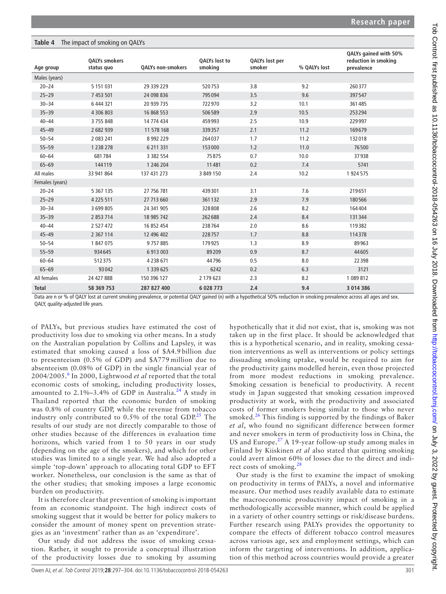### <span id="page-4-0"></span>**Table 4** The impact of smoking on QALYs

|                 | <b>QALYs smokers</b> |                   | QALYs lost to | QALYs lost per<br>smoker |              | QALYs gained with 50%<br>reduction in smoking |
|-----------------|----------------------|-------------------|---------------|--------------------------|--------------|-----------------------------------------------|
| Age group       | status quo           | QALYs non-smokers | smoking       |                          | % QALYs lost | prevalence                                    |
| Males (years)   |                      |                   |               |                          |              |                                               |
| $20 - 24$       | 5 1 5 1 0 3 1        | 29 339 229        | 520753        | 3.8                      | 9.2          | 260377                                        |
| $25 - 29$       | 7 453 501            | 24 098 836        | 795094        | 3.5                      | 9.6          | 397547                                        |
| $30 - 34$       | 6 444 321            | 20 939 735        | 722970        | 3.2                      | 10.1         | 361485                                        |
| $35 - 39$       | 4 306 803            | 16 868 553        | 506589        | 2.9                      | 10.5         | 253294                                        |
| $40 - 44$       | 3 755 848            | 14 774 434        | 459993        | 2.5                      | 10.9         | 229997                                        |
| $45 - 49$       | 2 682 939            | 11 578 168        | 339357        | 2.1                      | 11.2         | 169679                                        |
| $50 - 54$       | 2 083 241            | 8 9 9 2 2 2 9     | 264037        | 1.7                      | 11.2         | 132018                                        |
| $55 - 59$       | 1 238 278            | 6 211 331         | 153000        | 1.2                      | 11.0         | 76500                                         |
| $60 - 64$       | 681784               | 3 3 8 2 5 5 4     | 75875         | 0.7                      | 10.0         | 37938                                         |
| $65 - 69$       | 144119               | 1 246 204         | 11481         | 0.2                      | 7.4          | 5741                                          |
| All males       | 33 941 864           | 137 431 273       | 3 849 150     | 2.4                      | 10.2         | 1 924 575                                     |
| Females (years) |                      |                   |               |                          |              |                                               |
| $20 - 24$       | 5 3 6 7 1 3 5        | 27 756 781        | 439301        | 3.1                      | 7.6          | 219651                                        |
| $25 - 29$       | 4 2 2 5 5 1 1        | 27 713 660        | 361132        | 2.9                      | 7.9          | 180566                                        |
| $30 - 34$       | 3 699 805            | 24 341 905        | 328808        | 2.6                      | 8.2          | 164404                                        |
| $35 - 39$       | 2 853 714            | 18 985 742        | 262688        | 2.4                      | 8.4          | 131344                                        |
| $40 - 44$       | 2 527 472            | 16 852 454        | 238764        | 2.0                      | 8.6          | 119382                                        |
| $45 - 49$       | 2 3 6 7 1 1 4        | 12 496 402        | 228757        | 1.7                      | 8.8          | 114378                                        |
| $50 - 54$       | 1 847 075            | 9757885           | 179925        | 1.3                      | 8.9          | 89963                                         |
| $55 - 59$       | 934645               | 6 913 003         | 89209         | 0.9                      | 8.7          | 44605                                         |
| $60 - 64$       | 512375               | 4 2 3 8 6 7 1     | 44796         | 0.5                      | 8.0          | 22398                                         |
| $65 - 69$       | 93042                | 1 339 625         | 6242          | 0.2                      | 6.3          | 3121                                          |
| All females     | 24 427 888           | 150 396 127       | 2 179 623     | 2.3                      | 8.2          | 1 089 812                                     |
| <b>Total</b>    | 58 369 753           | 287 827 400       | 6 0 28 7 73   | 2.4                      | 9.4          | 3 0 1 4 3 8 6                                 |

Data are n or % of QALY lost at current smoking prevalence, or potential QALY gained (n) with a hypothetical 50% reduction in smoking prevalence across all ages and sex. QALY, quality-adjusted life years.

of PALYs, but previous studies have estimated the cost of productivity loss due to smoking via other means. In a study on the Australian population by Collins and Lapsley, it was estimated that smoking caused a loss of \$A4.9 billion due to presenteeism (0.5% of GDP) and \$A779 million due to absenteeism (0.08% of GDP) in the single financial year of 2004/2005.[6](#page-6-5) In 2000, Lightwood *et al* reported that the total economic costs of smoking, including productivity losses, amounted to  $2.1\% - 3.4\%$  of GDP in Australia.<sup>[24](#page-7-9)</sup> A study in Thailand reported that the economic burden of smoking was 0.8% of country GDP, while the revenue from tobacco industry only contributed to  $0.5\%$  of the total GDP.<sup>[25](#page-7-10)</sup> The results of our study are not directly comparable to those of other studies because of the differences in evaluation time horizons, which varied from 1 to 50 years in our study (depending on the age of the smokers), and which for other studies was limited to a single year. We had also adopted a simple 'top-down' approach to allocating total GDP to EFT worker. Nonetheless, our conclusion is the same as that of the other studies; that smoking imposes a large economic burden on productivity.

It is therefore clear that prevention of smoking is important from an economic standpoint. The high indirect costs of smoking suggest that it would be better for policy makers to consider the amount of money spent on prevention strategies as an 'investment' rather than as an 'expenditure'.

Our study did not address the issue of smoking cessation. Rather, it sought to provide a conceptual illustration of the productivity losses due to smoking by assuming hypothetically that it did not exist, that is, smoking was not taken up in the first place. It should be acknowledged that this is a hypothetical scenario, and in reality, smoking cessation interventions as well as interventions or policy settings dissuading smoking uptake, would be required to aim for the productivity gains modelled herein, even those projected from more modest reductions in smoking prevalence. Smoking cessation is beneficial to productivity. A recent study in Japan suggested that smoking cessation improved productivity at work, with the productivity and associated costs of former smokers being similar to those who never smoked. $26$  This finding is supported by the findings of Baker *et al*, who found no significant difference between former and never smokers in term of productivity loss in China, the US and Europe. $27$  A 19-year follow-up study among males in Finland by Kiiskinen *et al* also stated that quitting smoking could avert almost 60% of losses due to the direct and indirect costs of smoking.[28](#page-7-13)

Our study is the first to examine the impact of smoking on productivity in terms of PALYs, a novel and informative measure. Our method uses readily available data to estimate the macroeconomic productivity impact of smoking in a methodologically accessible manner, which could be applied in a variety of other country settings or risk/disease burdens. Further research using PALYs provides the opportunity to compare the effects of different tobacco control measures across various age, sex and employment settings, which can inform the targeting of interventions. In addition, application of this method across countries would provide a greater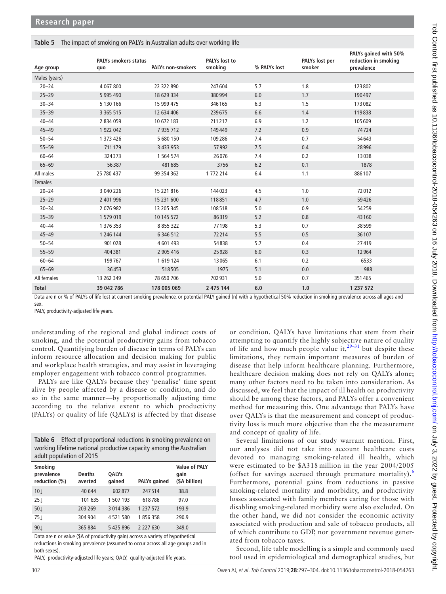### <span id="page-5-1"></span>**Table 5** The impact of smoking on PALYs in Australian adults over working life

| Age group     | PALYs smokers status<br>quo | <b>PALYs non-smokers</b> | <b>PALYs</b> lost to<br>smoking | % PALYs lost | PALYs lost per<br>smoker | PALYs gained with 50%<br>reduction in smoking<br>prevalence |
|---------------|-----------------------------|--------------------------|---------------------------------|--------------|--------------------------|-------------------------------------------------------------|
| Males (years) |                             |                          |                                 |              |                          |                                                             |
| $20 - 24$     | 4 067 800                   | 22 322 890               | 247604                          | 5.7          | 1.8                      | 123802                                                      |
| $25 - 29$     | 5 995 490                   | 18 629 334               | 380994                          | 6.0          | 1.7                      | 190497                                                      |
| $30 - 34$     | 5 130 166                   | 15 999 475               | 346165                          | 6.3          | 1.5                      | 173082                                                      |
| $35 - 39$     | 3 3 6 5 5 1 5               | 12 634 406               | 239675                          | 6.6          | 1.4                      | 119838                                                      |
| $40 - 44$     | 2 834 059                   | 10 672 183               | 211217                          | 6.9          | 1.2                      | 105609                                                      |
| $45 - 49$     | 1 922 042                   | 7 935 712                | 149449                          | 7.2          | 0.9                      | 74724                                                       |
| $50 - 54$     | 1 373 426                   | 5 680 150                | 109286                          | 7.4          | 0.7                      | 54643                                                       |
| $55 - 59$     | 711179                      | 3 433 953                | 57992                           | 7.5          | 0.4                      | 28996                                                       |
| $60 - 64$     | 324373                      | 1 564 574                | 26076                           | 7.4          | 0.2                      | 13038                                                       |
| $65 - 69$     | 56387                       | 481685                   | 3756                            | 6.2          | 0.1                      | 1878                                                        |
| All males     | 25 780 437                  | 99 354 362               | 1 772 214                       | 6.4          | 1.1                      | 886107                                                      |
| Females       |                             |                          |                                 |              |                          |                                                             |
| $20 - 24$     | 3 040 226                   | 15 221 816               | 144023                          | 4.5          | 1.0                      | 72012                                                       |
| $25 - 29$     | 2 401 996                   | 15 231 600               | 118851                          | 4.7          | 1.0                      | 59426                                                       |
| $30 - 34$     | 2 076 982                   | 13 205 345               | 108518                          | 5.0          | 0.9                      | 54259                                                       |
| $35 - 39$     | 1579019                     | 10 145 572               | 86319                           | 5.2          | 0.8                      | 43160                                                       |
| $40 - 44$     | 1 376 353                   | 8 8 5 3 3 2 2            | 77198                           | 5.3          | 0.7                      | 38599                                                       |
| $45 - 49$     | 1 246 144                   | 6 346 512                | 72214                           | 5.5          | 0.5                      | 36107                                                       |
| $50 - 54$     | 901028                      | 4 601 493                | 54838                           | 5.7          | 0.4                      | 27419                                                       |
| $55 - 59$     | 404381                      | 2 905 416                | 25928                           | 6.0          | 0.3                      | 12964                                                       |
| $60 - 64$     | 199767                      | 1619124                  | 13065                           | 6.1          | 0.2                      | 6533                                                        |
| $65 - 69$     | 36453                       | 518505                   | 1975                            | 5.1          | 0.0                      | 988                                                         |
| All females   | 13 262 349                  | 78 650 706               | 702931                          | 5.0          | 0.7                      | 351465                                                      |
| <b>Total</b>  | 39 042 786                  | 178 005 069              | 2 475 144                       | 6.0          | 1.0                      | 1 237 572                                                   |

Data are n or % of PALYs of life lost at current smoking prevalence, or potential PALY gained (n) with a hypothetical 50% reduction in smoking prevalence across all ages and sex.

PALY, productivity-adjusted life years.

understanding of the regional and global indirect costs of smoking, and the potential productivity gains from tobacco control. Quantifying burden of disease in terms of PALYs can inform resource allocation and decision making for public and workplace health strategies, and may assist in leveraging employer engagement with tobacco control programmes.

PALYs are like QALYs because they 'penalise' time spent alive by people affected by a disease or condition, and do so in the same manner—by proportionally adjusting time according to the relative extent to which productivity (PALYs) or quality of life (QALYs) is affected by that disease

<span id="page-5-0"></span>

| <b>Table 6</b> Effect of proportional reductions in smoking prevalence on |
|---------------------------------------------------------------------------|
| working lifetime national productive capacity among the Australian        |
| adult population of 2015                                                  |

| <b>Smoking</b><br>prevalence<br>reduction (%) | <b>Deaths</b><br>averted | QALYs<br>qained | <b>PALYs gained</b> | <b>Value of PALY</b><br>gain<br>(\$A billion) |
|-----------------------------------------------|--------------------------|-----------------|---------------------|-----------------------------------------------|
| 10 <sub>l</sub>                               | 40 644                   | 602877          | 247514              | 38.8                                          |
| $25\downarrow$                                | 101 635                  | 1 507 193       | 618786              | 97.0                                          |
| 50 L                                          | 203 269                  | 3 014 386       | 1 237 572           | 193.9                                         |
| 75↓                                           | 304 904                  | 4521580         | 1856358             | 290.9                                         |
| $90\downarrow$                                | 365 884                  | 5 425 896       | 2 2 2 7 6 3 0       | 349.0                                         |

Data are n or value (\$A of productivity gain) across a variety of hypothetical reductions in smoking prevalence (assumed to occur across all age groups and in both sexes).

PALY, productivity-adjusted life years; QALY, quality-adjusted life years.

or condition. QALYs have limitations that stem from their attempting to quantify the highly subjective nature of quality of life and how much people value it,<sup>29–31</sup> but despite these limitations, they remain important measures of burden of disease that help inform healthcare planning. Furthermore, healthcare decision making does not rely on QALYs alone; many other factors need to be taken into consideration. As discussed, we feel that the impact of ill health on productivity should be among these factors, and PALYs offer a convenient method for measuring this. One advantage that PALYs have over QALYs is that the measurement and concept of productivity loss is much more objective than the the measurement and concept of quality of life.

Several limitations of our study warrant mention. First, our analyses did not take into account healthcare costs devoted to managing smoking-related ill health, which were estimated to be \$A318 million in the year 2004/2005 (offset for savings accrued through premature mortality).<sup>[6](#page-6-5)</sup> Furthermore, potential gains from reductions in passive smoking-related mortality and morbidity, and productivity losses associated with family members caring for those with disabling smoking-related morbidity were also excluded. On the other hand, we did not consider the economic activity associated with production and sale of tobacco products, all of which contribute to GDP, nor government revenue generated from tobacco taxes.

Second, life table modelling is a simple and commonly used tool used in epidemiological and demographical studies, but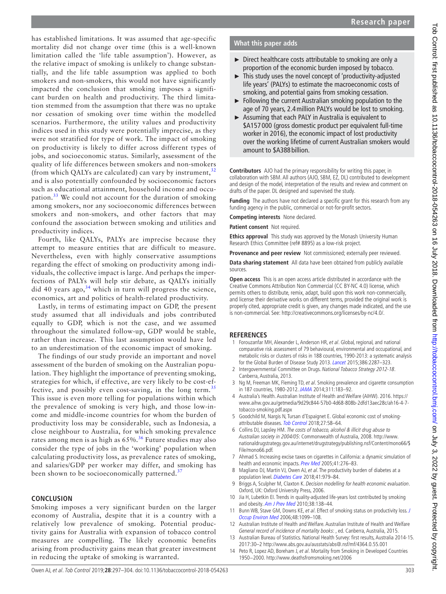has established limitations. It was assumed that age-specific mortality did not change over time (this is a well-known limitation called the 'life table assumption'). However, as the relative impact of smoking is unlikely to change substantially, and the life table assumption was applied to both smokers and non-smokers, this would not have significantly impacted the conclusion that smoking imposes a significant burden on health and productivity. The third limitation stemmed from the assumption that there was no uptake nor cessation of smoking over time within the modelled scenarios. Furthermore, the utility values and productivity indices used in this study were potentially imprecise, as they were not stratified for type of work. The impact of smoking on productivity is likely to differ across different types of jobs, and socioeconomic status. Similarly, assessment of the quality of life differences between smokers and non-smokers (from which QALYs are calculated) can vary by instrument,  $32$ and is also potentially confounded by socioeconomic factors such as educational attainment, household income and occupation.[33](#page-7-16) We could not account for the duration of smoking among smokers, nor any socioeconomic differences between smokers and non-smokers, and other factors that may confound the association between smoking and utilities and productivity indices.

Fourth, like QALYs, PALYs are imprecise because they attempt to measure entities that are difficult to measure. Nevertheless, even with highly conservative assumptions regarding the effect of smoking on productivity among individuals, the collective impact is large. And perhaps the imperfections of PALYs will help stir debate, as QALYs initially did 40 years ago,  $34$  which in turn will progress the science, economics, art and politics of health-related productivity.

Lastly, in terms of estimating impact on GDP, the present study assumed that all individuals and jobs contributed equally to GDP, which is not the case, and we assumed throughout the simulated follow-up, GDP would be stable, rather than increase. This last assumption would have led to an underestimation of the economic impact of smoking.

The findings of our study provide an important and novel assessment of the burden of smoking on the Australian population. They highlight the importance of preventing smoking, strategies for which, if effective, are very likely to be cost-ef-fective, and possibly even cost-saving, in the long term.<sup>[35](#page-7-18)</sup> This issue is even more telling for populations within which the prevalence of smoking is very high, and those low-income and middle-income countries for whom the burden of productivity loss may be considerable, such as Indonesia, a close neighbour to Australia, for which smoking prevalence rates among men is as high as  $65\%$ .<sup>36</sup> Future studies may also consider the type of jobs in the 'working' population when calculating productivity loss, as prevalence rates of smoking, and salaries/GDP per worker may differ, and smoking has been shown to be socioeconomically patterned.<sup>[37](#page-7-20)</sup>

### **Conclusion**

Smoking imposes a very significant burden on the larger economy of Australia, despite that it is a country with a relatively low prevalence of smoking. Potential productivity gains for Australia with expansion of tobacco control measures are compelling. The likely economic benefits arising from productivity gains mean that greater investment in reducing the uptake of smoking is warranted.

### **What this paper adds**

- ► Direct healthcare costs attributable to smoking are only a proportion of the economic burden imposed by tobacco.
- ► This study uses the novel concept of 'productivity-adjusted life years' (PALYs) to estimate the macroeconomic costs of smoking, and potential gains from smoking cessation.
- ► Following the current Australian smoking population to the age of 70 years, 2.4million PALYs would be lost to smoking.
- ► Assuming that each PALY in Australia is equivalent to \$A157 000 (gross domestic product per equivalent full-time worker in 2016), the economic impact of lost productivity over the working lifetime of current Australian smokers would amount to \$A388 billion.

**Contributors** AJO had the primary responsibility for writing this paper, in collaboration with SBM. All authors (AJO, SBM, EZ, DL) contributed to development and design of the model, interpretation of the results and review and comment on drafts of the paper. DL designed and supervised the study.

**Funding** The authors have not declared a specific grant for this research from any funding agency in the public, commercial or not-for-profit sectors.

**Competing interests** None declared.

**Patient consent** Not required.

**Ethics approval** This study was approved by the Monash University Human Research Ethics Committee (ref# 8895) as a low-risk project.

**Provenance and peer review** Not commissioned; externally peer reviewed.

**Data sharing statement** All data have been obtained from publicly available sources.

**Open access** This is an open access article distributed in accordance with the Creative Commons Attribution Non Commercial (CC BY-NC 4.0) license, which permits others to distribute, remix, adapt, build upon this work non-commercially, and license their derivative works on different terms, provided the original work is properly cited, appropriate credit is given, any changes made indicated, and the use is non-commercial. See: [http://creativecommons.org/licenses/by-nc/4.0/.](http://creativecommons.org/licenses/by-nc/4.0/)

### **References**

- <span id="page-6-0"></span>1 Forouzanfar MH, Alexander L, Anderson HR, et al. Global, regional, and national comparative risk assessment of 79 behavioural, environmental and occupational, and metabolic risks or clusters of risks in 188 countries, 1990-2013: a systematic analysis for the Global Burden of Disease Study 2013. [Lancet](http://dx.doi.org/10.1016/S0140-6736(15)00128-2) 2015;386:2287–323.
- <span id="page-6-1"></span>2 Intergovernmental Committee on Drugs. National Tobacco Strategy 2012-18. Canberra, Australia, 2013.
- <span id="page-6-2"></span>3 Ng M, Freeman MK, Fleming TD, et al. Smoking prevalence and cigarette consumption in 187 countries, 1980-2012. [JAMA](http://dx.doi.org/10.1001/jama.2013.284692) 2014;311:183–92.
- <span id="page-6-3"></span>4 Australia's Health. Australian Institute of Health and Welfare (AIHW). 2016. [https://](https://www.aihw.gov.au/getmedia/9d29c844-57b0-4d68-808b-2dfd13aec28c/ah16-4-7-tobacco-smoking.pdf.aspx) [www.aihw.gov.au/getmedia/9d29c844-57b0-4d68-808b-2dfd13aec28c/ah16-4-7](https://www.aihw.gov.au/getmedia/9d29c844-57b0-4d68-808b-2dfd13aec28c/ah16-4-7-tobacco-smoking.pdf.aspx) [tobacco-smoking.pdf.aspx](https://www.aihw.gov.au/getmedia/9d29c844-57b0-4d68-808b-2dfd13aec28c/ah16-4-7-tobacco-smoking.pdf.aspx)
- <span id="page-6-4"></span>5 Goodchild M, Nargis N, Tursan d'Espaignet E. Global economic cost of smoking-attributable diseases. [Tob Control](http://dx.doi.org/10.1136/tobaccocontrol-2016-053305) 2018;27:58-64.
- <span id="page-6-5"></span>6 Collins DJ, Lapsley HM. The costs of tobacco, alcohol & illicit drug abuse to Australian society in 2004/05: Commonwealth of Australia, 2008. [http://www.](http://www.nationaldrugstrategy.gov.au/internet/drugstrategy/publishing.nsf/Content/mono66/$File/mono66.pdf) [nationaldrugstrategy.gov.au/internet/drugstrategy/publishing.nsf/Content/mono66/\\$](http://www.nationaldrugstrategy.gov.au/internet/drugstrategy/publishing.nsf/Content/mono66/$File/mono66.pdf) [File/mono66.pdf](http://www.nationaldrugstrategy.gov.au/internet/drugstrategy/publishing.nsf/Content/mono66/$File/mono66.pdf).
- <span id="page-6-6"></span>7 Ahmad S. Increasing excise taxes on cigarettes in California: a dynamic simulation of health and economic impacts. [Prev Med](http://dx.doi.org/10.1016/j.ypmed.2004.10.024) 2005;41:276-83.
- <span id="page-6-7"></span>8 Magliano DJ, Martin VJ, Owen AJ, et al. The productivity burden of diabetes at a population level. [Diabetes Care](http://dx.doi.org/10.2337/dc17-2138) 2018;41:979–84.
- <span id="page-6-8"></span>9 Briggs A, Sculpher M, Claxton K. Decision modelling for health economic evaluation. Oxford, UK: Oxford University Press, 2006.
- <span id="page-6-10"></span>10 Jia H, Lubetkin EI. Trends in quality-adjusted life-years lost contributed by smoking and obesity. [Am J Prev Med](http://dx.doi.org/10.1016/j.amepre.2009.09.043) 2010;38:138-44.
- <span id="page-6-11"></span>11 Bunn WB, Stave GM, Downs KE, et al. Effect of smoking status on productivity loss. J [Occup Environ Med](http://dx.doi.org/10.1097/01.jom.0000243406.08419.74) 2006;48:1099–108.
- <span id="page-6-12"></span>12 Australian Institute of Health and Welfare. Australian Institute of Health and Welfare General record of incidence of mortality books: , ed. Canberra, Australia, 2015.
- <span id="page-6-9"></span>13 Australian Bureau of Statistics. National Health Survey: first results, Australia 2014-15. 2017:30–2 <http://www.abs.gov.au/ausstats/abs@.nsf/mf/4364.0.55.001>
- <span id="page-6-13"></span>14 Peto R, Lopez AD, Boreham J, et al. Mortality from Smoking in Developed Countries 1950−2000. <http://www.deathsfromsmoking.net/2006>